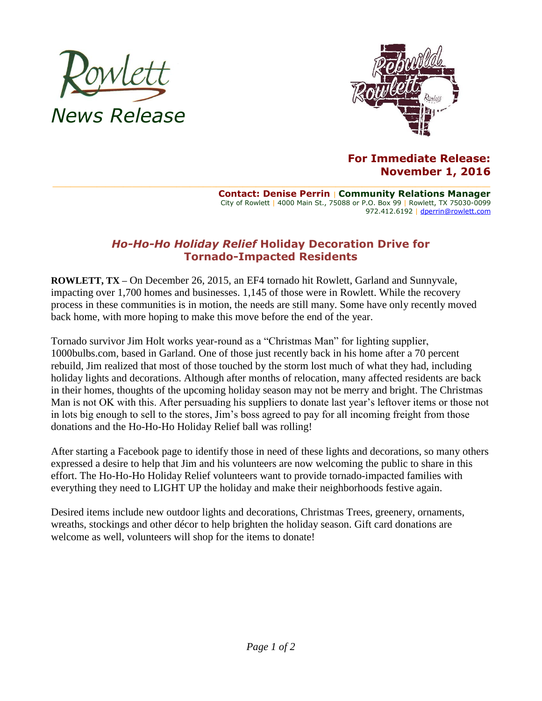



## **For Immediate Release: November 1, 2016**

**Contact: Denise Perrin** | **Community Relations Manager** City of Rowlett | 4000 Main St., 75088 or P.O. Box 99 | Rowlett, TX 75030-0099 972.412.6192 | [dperrin@rowlett.com](mailto:dperrin@rowlett.com)

## *Ho-Ho-Ho Holiday Relief* **Holiday Decoration Drive for Tornado-Impacted Residents**

**ROWLETT, TX –** On December 26, 2015, an EF4 tornado hit Rowlett, Garland and Sunnyvale, impacting over 1,700 homes and businesses. 1,145 of those were in Rowlett. While the recovery process in these communities is in motion, the needs are still many. Some have only recently moved back home, with more hoping to make this move before the end of the year.

Tornado survivor Jim Holt works year-round as a "Christmas Man" for lighting supplier, 1000bulbs.com, based in Garland. One of those just recently back in his home after a 70 percent rebuild, Jim realized that most of those touched by the storm lost much of what they had, including holiday lights and decorations. Although after months of relocation, many affected residents are back in their homes, thoughts of the upcoming holiday season may not be merry and bright. The Christmas Man is not OK with this. After persuading his suppliers to donate last year's leftover items or those not in lots big enough to sell to the stores, Jim's boss agreed to pay for all incoming freight from those donations and the Ho-Ho-Ho Holiday Relief ball was rolling!

After starting a Facebook page to identify those in need of these lights and decorations, so many others expressed a desire to help that Jim and his volunteers are now welcoming the public to share in this effort. The Ho-Ho-Ho Holiday Relief volunteers want to provide tornado-impacted families with everything they need to LIGHT UP the holiday and make their neighborhoods festive again.

Desired items include new outdoor lights and decorations, Christmas Trees, greenery, ornaments, wreaths, stockings and other décor to help brighten the holiday season. Gift card donations are welcome as well, volunteers will shop for the items to donate!